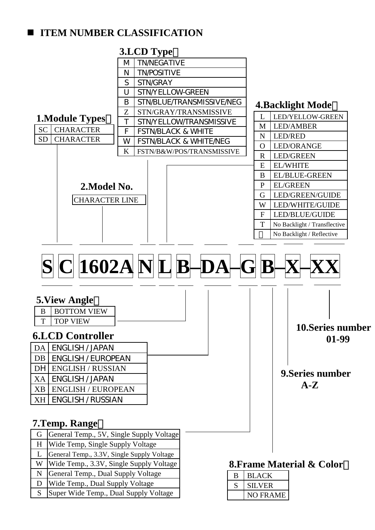## **ITEM NUMBER CLASSIFICATION**

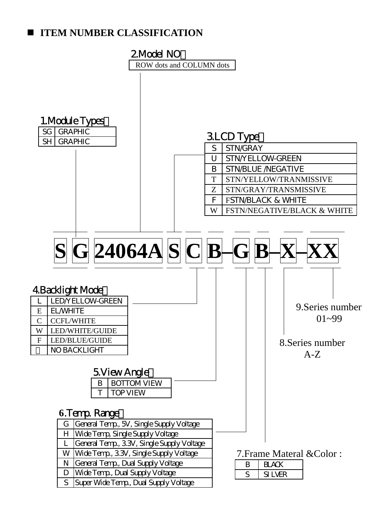## **ITEM NUMBER CLASSIFICATION**

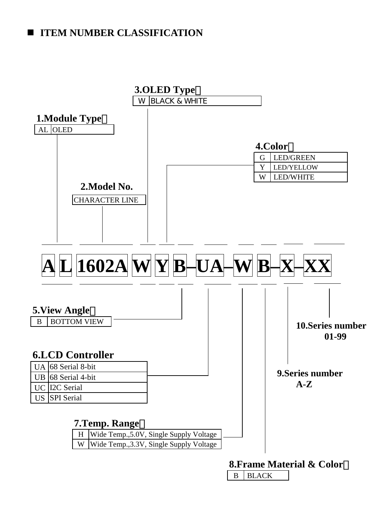## **IFEM NUMBER CLASSIFICATION**